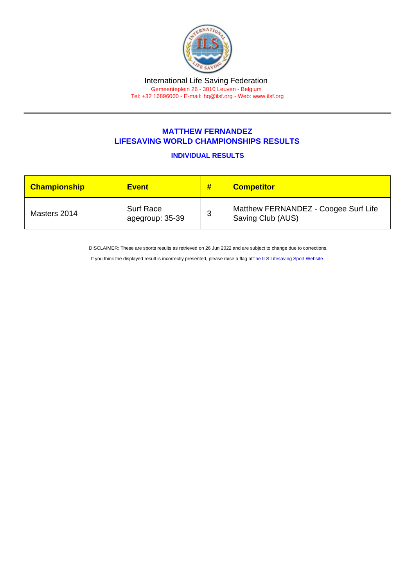## MATTHEW FERNANDEZ LIFESAVING WORLD CHAMPIONSHIPS RESULTS

INDIVIDUAL RESULTS

| <b>Championship</b> | <b>Event</b>                        | # | <b>Competitor</b>                                         |
|---------------------|-------------------------------------|---|-----------------------------------------------------------|
| Masters 2014        | <b>Surf Race</b><br>agegroup: 35-39 | 3 | Matthew FERNANDEZ - Coogee Surf Life<br>Saving Club (AUS) |

DISCLAIMER: These are sports results as retrieved on 26 Jun 2022 and are subject to change due to corrections.

If you think the displayed result is incorrectly presented, please raise a flag at [The ILS Lifesaving Sport Website.](https://sport.ilsf.org)